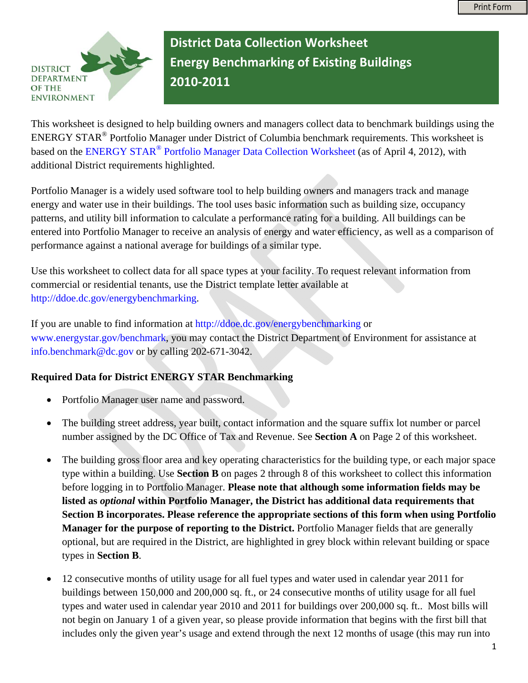

**District Data Collection Worksheet Energy Benchmarking of Existing Buildings 2010‐2011**

This worksheet is designed to help building owners and managers collect data to benchmark buildings using the ENERGY STAR® Portfolio Manager under District of Columbia benchmark requirements. This worksheet is based on the [ENERGY STAR® Portfolio Manager Data Collection Worksheet](http://www.energystar.gov/ia/business/downloads/PM_Data_Collection_Worksheet.doc?535f-c538) (as of April 4, 2012), with additional District requirements highlighted.

Portfolio Manager is a widely used software tool to help building owners and managers track and manage energy and water use in their buildings. The tool uses basic information such as building size, occupancy patterns, and utility bill information to calculate a performance rating for a building. All buildings can be entered into Portfolio Manager to receive an analysis of energy and water efficiency, as well as a comparison of performance against a national average for buildings of a similar type.

Use this worksheet to collect data for all space types at your facility. To request relevant information from commercial or residential tenants, use the District template letter available at [http://ddoe.dc.gov/energybenchmarking.](http://ddoe.dc.gov/energybenchmarking)

If you are unable to find information at <http://ddoe.dc.gov/energybenchmarking>or [www.energystar.gov/benchmark,](http://www.energystar.gov/benchmark) you may contact the District Department of Environment for assistance at [info.benchmark@dc.gov](mailto:info.benchmark@dc.gov) or by calling 202-671-3042.

## **Required Data for District ENERGY STAR Benchmarking**

- Portfolio Manager user name and password.
- The building street address, year built, contact information and the square suffix lot number or parcel number assigned by the DC Office of Tax and Revenue. See **Section A** on Page 2 of this worksheet.
- The building gross floor area and key operating characteristics for the building type, or each major space type within a building. Use **Section B** on pages 2 through 8 of this worksheet to collect this information before logging in to Portfolio Manager. **Please note that although some information fields may be listed as** *optional* **within Portfolio Manager, the District has additional data requirements that Section B incorporates. Please reference the appropriate sections of this form when using Portfolio Manager for the purpose of reporting to the District.** Portfolio Manager fields that are generally optional, but are required in the District, are highlighted in grey block within relevant building or space types in **Section B**.
- 12 consecutive months of utility usage for all fuel types and water used in calendar year 2011 for buildings between 150,000 and 200,000 sq. ft., or 24 consecutive months of utility usage for all fuel types and water used in calendar year 2010 and 2011 for buildings over 200,000 sq. ft.. Most bills will not begin on January 1 of a given year, so please provide information that begins with the first bill that includes only the given year's usage and extend through the next 12 months of usage (this may run into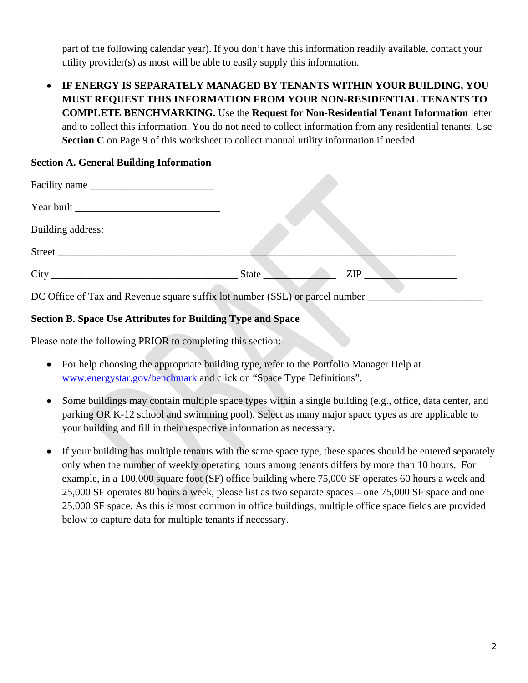part of the following calendar year). If you don't have this information readily available, contact your utility provider(s) as most will be able to easily supply this information.

• **IF ENERGY IS SEPARATELY MANAGED BY TENANTS WITHIN YOUR BUILDING, YOU MUST REQUEST THIS INFORMATION FROM YOUR NON-RESIDENTIAL TENANTS TO COMPLETE BENCHMARKING.** Use the **Request for Non-Residential Tenant Information** letter and to collect this information. You do not need to collect information from any residential tenants. Use **Section C** on Page 9 of this worksheet to collect manual utility information if needed.

## **Section A. General Building Information**

| Facility name     |                                                                              |            |
|-------------------|------------------------------------------------------------------------------|------------|
|                   |                                                                              |            |
| Building address: |                                                                              |            |
| Street            |                                                                              |            |
|                   | State                                                                        | <b>ZIP</b> |
|                   | DC Office of Tax and Revenue square suffix lot number (SSL) or parcel number |            |

## **Section B. Space Use Attributes for Building Type and Space**

Please note the following PRIOR to completing this section:

- For help choosing the appropriate building type, refer to the Portfolio Manager Help at [www.energystar.gov/benchmark](http://www.energystar.gov/benchmark) and click on "Space Type Definitions".
- Some buildings may contain multiple space types within a single building (e.g., office, data center, and parking OR K-12 school and swimming pool). Select as many major space types as are applicable to your building and fill in their respective information as necessary.
- If your building has multiple tenants with the same space type, these spaces should be entered separately only when the number of weekly operating hours among tenants differs by more than 10 hours. For example, in a 100,000 square foot (SF) office building where 75,000 SF operates 60 hours a week and 25,000 SF operates 80 hours a week, please list as two separate spaces – one 75,000 SF space and one 25,000 SF space. As this is most common in office buildings, multiple office space fields are provided below to capture data for multiple tenants if necessary.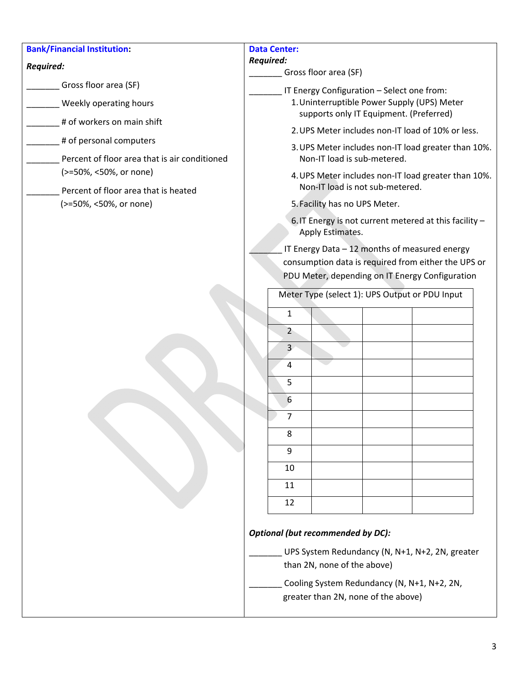| <b>Bank/Financial Institution:</b>                             | <b>Data Center:</b>                                                                                  |  |  |  |
|----------------------------------------------------------------|------------------------------------------------------------------------------------------------------|--|--|--|
| Required:                                                      | <b>Required:</b><br>Gross floor area (SF)                                                            |  |  |  |
| Gross floor area (SF)                                          | IT Energy Configuration - Select one from:                                                           |  |  |  |
| Weekly operating hours                                         | 1. Uninterruptible Power Supply (UPS) Meter                                                          |  |  |  |
| # of workers on main shift                                     | supports only IT Equipment. (Preferred)<br>2. UPS Meter includes non-IT load of 10% or less.         |  |  |  |
| # of personal computers                                        | 3. UPS Meter includes non-IT load greater than 10%.                                                  |  |  |  |
| Percent of floor area that is air conditioned                  | Non-IT load is sub-metered.                                                                          |  |  |  |
| (>=50%, <50%, or none)                                         | 4. UPS Meter includes non-IT load greater than 10%.<br>Non-IT load is not sub-metered.               |  |  |  |
| Percent of floor area that is heated<br>(>=50%, <50%, or none) | 5. Facility has no UPS Meter.                                                                        |  |  |  |
|                                                                | 6. IT Energy is not current metered at this facility -<br>Apply Estimates.                           |  |  |  |
|                                                                | IT Energy Data - 12 months of measured energy<br>consumption data is required from either the UPS or |  |  |  |
|                                                                | PDU Meter, depending on IT Energy Configuration                                                      |  |  |  |
|                                                                | Meter Type (select 1): UPS Output or PDU Input                                                       |  |  |  |
|                                                                | 1                                                                                                    |  |  |  |
|                                                                | $\overline{2}$                                                                                       |  |  |  |
|                                                                | $\overline{3}$                                                                                       |  |  |  |
|                                                                | 4                                                                                                    |  |  |  |
|                                                                | 5<br>6                                                                                               |  |  |  |
|                                                                | 7                                                                                                    |  |  |  |
|                                                                | 8                                                                                                    |  |  |  |
|                                                                | 9                                                                                                    |  |  |  |
|                                                                | 10                                                                                                   |  |  |  |
|                                                                | 11                                                                                                   |  |  |  |
|                                                                | 12                                                                                                   |  |  |  |
|                                                                | <b>Optional (but recommended by DC):</b>                                                             |  |  |  |
|                                                                | UPS System Redundancy (N, N+1, N+2, 2N, greater                                                      |  |  |  |
|                                                                | than 2N, none of the above)                                                                          |  |  |  |
|                                                                | Cooling System Redundancy (N, N+1, N+2, 2N,<br>greater than 2N, none of the above)                   |  |  |  |
|                                                                |                                                                                                      |  |  |  |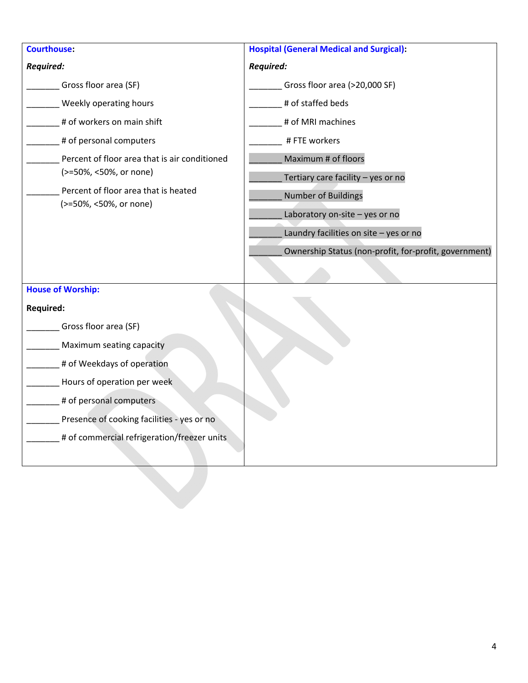| <b>Courthouse:</b>                                             | <b>Hospital (General Medical and Surgical):</b>       |  |  |  |
|----------------------------------------------------------------|-------------------------------------------------------|--|--|--|
| <b>Required:</b>                                               | Required:                                             |  |  |  |
| Gross floor area (SF)                                          | Gross floor area (>20,000 SF)                         |  |  |  |
| Weekly operating hours                                         | # of staffed beds                                     |  |  |  |
| # of workers on main shift                                     | # of MRI machines                                     |  |  |  |
| # of personal computers                                        | # FTE workers                                         |  |  |  |
| Percent of floor area that is air conditioned                  | Maximum # of floors                                   |  |  |  |
| (>=50%, <50%, or none)                                         | Tertiary care facility - yes or no                    |  |  |  |
| Percent of floor area that is heated<br>(>=50%, <50%, or none) | Number of Buildings                                   |  |  |  |
|                                                                | Laboratory on-site - yes or no                        |  |  |  |
|                                                                | Laundry facilities on site - yes or no                |  |  |  |
|                                                                | Ownership Status (non-profit, for-profit, government) |  |  |  |
|                                                                |                                                       |  |  |  |
| <b>House of Worship:</b>                                       |                                                       |  |  |  |
| <b>Required:</b>                                               |                                                       |  |  |  |
| Gross floor area (SF)                                          |                                                       |  |  |  |
| Maximum seating capacity                                       |                                                       |  |  |  |
| # of Weekdays of operation                                     |                                                       |  |  |  |
| Hours of operation per week                                    |                                                       |  |  |  |
| # of personal computers                                        |                                                       |  |  |  |
| Presence of cooking facilities - yes or no                     |                                                       |  |  |  |
| # of commercial refrigeration/freezer units                    |                                                       |  |  |  |
|                                                                |                                                       |  |  |  |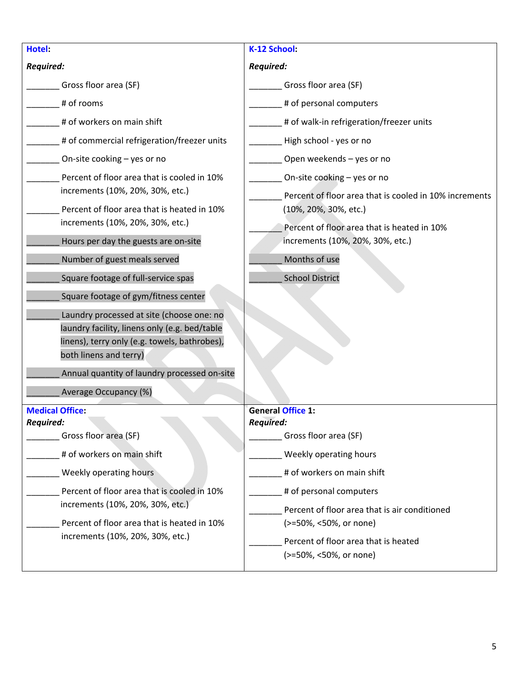| Hotel:                                                                                                                                                                | K-12 School:                                                                                                                               |  |  |  |  |
|-----------------------------------------------------------------------------------------------------------------------------------------------------------------------|--------------------------------------------------------------------------------------------------------------------------------------------|--|--|--|--|
| <b>Required:</b>                                                                                                                                                      | <b>Required:</b>                                                                                                                           |  |  |  |  |
| Gross floor area (SF)                                                                                                                                                 | Gross floor area (SF)                                                                                                                      |  |  |  |  |
| # of rooms                                                                                                                                                            | # of personal computers                                                                                                                    |  |  |  |  |
| # of workers on main shift                                                                                                                                            | # of walk-in refrigeration/freezer units                                                                                                   |  |  |  |  |
| # of commercial refrigeration/freezer units                                                                                                                           | High school - yes or no                                                                                                                    |  |  |  |  |
| On-site cooking - yes or no                                                                                                                                           | Open weekends - yes or no                                                                                                                  |  |  |  |  |
| Percent of floor area that is cooled in 10%                                                                                                                           | On-site cooking - yes or no                                                                                                                |  |  |  |  |
| increments (10%, 20%, 30%, etc.)<br>Percent of floor area that is heated in 10%                                                                                       | Percent of floor area that is cooled in 10% increments<br>(10%, 20%, 30%, etc.)                                                            |  |  |  |  |
| increments (10%, 20%, 30%, etc.)                                                                                                                                      | Percent of floor area that is heated in 10%                                                                                                |  |  |  |  |
| Hours per day the guests are on-site                                                                                                                                  | increments (10%, 20%, 30%, etc.)                                                                                                           |  |  |  |  |
| Number of guest meals served                                                                                                                                          | Months of use                                                                                                                              |  |  |  |  |
| Square footage of full-service spas                                                                                                                                   | <b>School District</b>                                                                                                                     |  |  |  |  |
| Square footage of gym/fitness center                                                                                                                                  |                                                                                                                                            |  |  |  |  |
| Laundry processed at site (choose one: no<br>laundry facility, linens only (e.g. bed/table<br>linens), terry only (e.g. towels, bathrobes),<br>both linens and terry) |                                                                                                                                            |  |  |  |  |
| Annual quantity of laundry processed on-site                                                                                                                          |                                                                                                                                            |  |  |  |  |
| Average Occupancy (%)                                                                                                                                                 |                                                                                                                                            |  |  |  |  |
| <b>Medical Office:</b><br><b>Required:</b>                                                                                                                            | <b>General Office 1:</b><br><b>Required:</b>                                                                                               |  |  |  |  |
| Gross floor area (SF)                                                                                                                                                 | Gross floor area (SF)                                                                                                                      |  |  |  |  |
| # of workers on main shift                                                                                                                                            | Weekly operating hours                                                                                                                     |  |  |  |  |
| Weekly operating hours                                                                                                                                                | # of workers on main shift                                                                                                                 |  |  |  |  |
| Percent of floor area that is cooled in 10%<br>increments (10%, 20%, 30%, etc.)<br>Percent of floor area that is heated in 10%<br>increments (10%, 20%, 30%, etc.)    | # of personal computers<br>Percent of floor area that is air conditioned<br>(>=50%, <50%, or none)<br>Percent of floor area that is heated |  |  |  |  |
|                                                                                                                                                                       | (>=50%, <50%, or none)                                                                                                                     |  |  |  |  |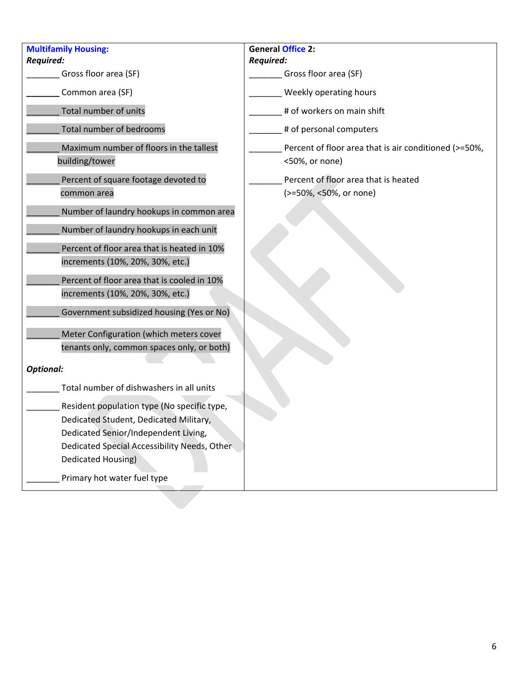| <b>Multifamily Housing:</b>                               | <b>General Office 2:</b>                                                |
|-----------------------------------------------------------|-------------------------------------------------------------------------|
| <b>Required:</b>                                          | <b>Required:</b>                                                        |
| Gross floor area (SF)                                     | Gross floor area (SF)                                                   |
| Common area (SF)                                          | Weekly operating hours                                                  |
| Total number of units                                     | # of workers on main shift                                              |
| Total number of bedrooms                                  | # of personal computers                                                 |
| Maximum number of floors in the tallest<br>building/tower | Percent of floor area that is air conditioned (>=50%,<br><50%, or none) |
| Percent of square footage devoted to<br>common area       | Percent of floor area that is heated<br>(>=50%, <50%, or none)          |
| Number of laundry hookups in common area                  |                                                                         |
| Number of laundry hookups in each unit                    |                                                                         |
| Percent of floor area that is heated in 10%               |                                                                         |
| increments (10%, 20%, 30%, etc.)                          |                                                                         |
| Percent of floor area that is cooled in 10%               |                                                                         |
| increments (10%, 20%, 30%, etc.)                          |                                                                         |
| Government subsidized housing (Yes or No)                 |                                                                         |
| Meter Configuration (which meters cover                   |                                                                         |
| tenants only, common spaces only, or both)                |                                                                         |
| <b>Optional:</b>                                          |                                                                         |
| Total number of dishwashers in all units                  |                                                                         |
| Resident population type (No specific type,               |                                                                         |
| Dedicated Student, Dedicated Military,                    |                                                                         |
| Dedicated Senior/Independent Living,                      |                                                                         |
| Dedicated Special Accessibility Needs, Other              |                                                                         |
| Dedicated Housing)                                        |                                                                         |
| Primary hot water fuel type                               |                                                                         |
|                                                           |                                                                         |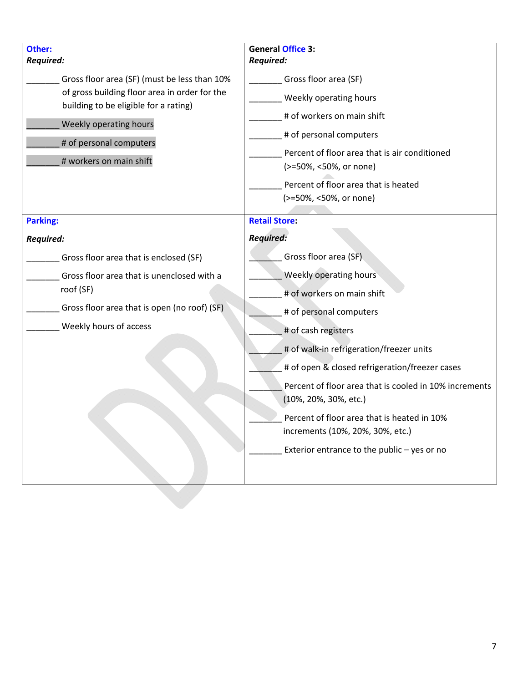| Other:                                                                                                                                                                                                                                     | <b>General Office 3:</b>                                                                                                                                                                                                                                                                                                                                                                                                                             |
|--------------------------------------------------------------------------------------------------------------------------------------------------------------------------------------------------------------------------------------------|------------------------------------------------------------------------------------------------------------------------------------------------------------------------------------------------------------------------------------------------------------------------------------------------------------------------------------------------------------------------------------------------------------------------------------------------------|
| <b>Required:</b><br>Gross floor area (SF) (must be less than 10%<br>of gross building floor area in order for the<br>building to be eligible for a rating)<br>Weekly operating hours<br># of personal computers<br># workers on main shift | <b>Required:</b><br>Gross floor area (SF)<br>Weekly operating hours<br># of workers on main shift<br># of personal computers<br>Percent of floor area that is air conditioned<br>(>=50%, <50%, or none)<br>Percent of floor area that is heated<br>(>=50%, <50%, or none)                                                                                                                                                                            |
| <b>Parking:</b>                                                                                                                                                                                                                            | <b>Retail Store:</b>                                                                                                                                                                                                                                                                                                                                                                                                                                 |
| <b>Required:</b>                                                                                                                                                                                                                           | <b>Required:</b>                                                                                                                                                                                                                                                                                                                                                                                                                                     |
| Gross floor area that is enclosed (SF)<br>Gross floor area that is unenclosed with a<br>roof (SF)<br>Gross floor area that is open (no roof) (SF)<br>Weekly hours of access                                                                | Gross floor area (SF)<br>Weekly operating hours<br># of workers on main shift<br># of personal computers<br># of cash registers<br># of walk-in refrigeration/freezer units<br># of open & closed refrigeration/freezer cases<br>Percent of floor area that is cooled in 10% increments<br>(10%, 20%, 30%, etc.)<br>Percent of floor area that is heated in 10%<br>increments (10%, 20%, 30%, etc.)<br>Exterior entrance to the public $-$ yes or no |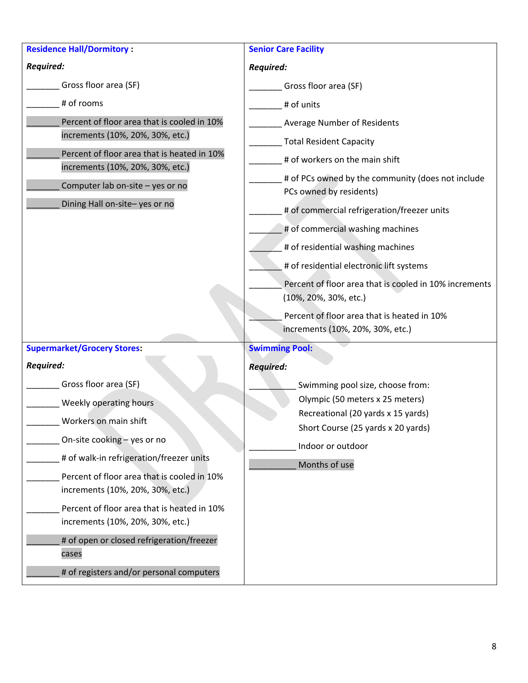| <b>Residence Hall/Dormitory:</b>                                                | <b>Senior Care Facility</b>                                                         |  |  |  |
|---------------------------------------------------------------------------------|-------------------------------------------------------------------------------------|--|--|--|
| Required:                                                                       | <b>Required:</b>                                                                    |  |  |  |
| Gross floor area (SF)                                                           | Gross floor area (SF)                                                               |  |  |  |
| # of rooms                                                                      | # of units                                                                          |  |  |  |
| Percent of floor area that is cooled in 10%<br>increments (10%, 20%, 30%, etc.) | Average Number of Residents<br><b>Total Resident Capacity</b>                       |  |  |  |
| Percent of floor area that is heated in 10%<br>increments (10%, 20%, 30%, etc.) | # of workers on the main shift<br># of PCs owned by the community (does not include |  |  |  |
| Computer lab on-site - yes or no                                                | PCs owned by residents)                                                             |  |  |  |
| Dining Hall on-site-yes or no                                                   | # of commercial refrigeration/freezer units                                         |  |  |  |
|                                                                                 | # of commercial washing machines                                                    |  |  |  |
|                                                                                 | # of residential washing machines                                                   |  |  |  |
|                                                                                 | # of residential electronic lift systems                                            |  |  |  |
|                                                                                 | Percent of floor area that is cooled in 10% increments<br>(10%, 20%, 30%, etc.)     |  |  |  |
|                                                                                 | Percent of floor area that is heated in 10%<br>increments (10%, 20%, 30%, etc.)     |  |  |  |
| <b>Supermarket/Grocery Stores:</b>                                              | <b>Swimming Pool:</b>                                                               |  |  |  |
| <b>Required:</b>                                                                | <b>Required:</b>                                                                    |  |  |  |
| Gross floor area (SF)                                                           | Swimming pool size, choose from:                                                    |  |  |  |
| Weekly operating hours                                                          | Olympic (50 meters x 25 meters)                                                     |  |  |  |
| Workers on main shift                                                           | Recreational (20 yards x 15 yards)<br>Short Course (25 yards x 20 yards)            |  |  |  |
| On-site cooking - yes or no                                                     | Indoor or outdoor                                                                   |  |  |  |
| # of walk-in refrigeration/freezer units                                        | Months of use                                                                       |  |  |  |
| Percent of floor area that is cooled in 10%<br>increments (10%, 20%, 30%, etc.) |                                                                                     |  |  |  |
| Percent of floor area that is heated in 10%<br>increments (10%, 20%, 30%, etc.) |                                                                                     |  |  |  |
| # of open or closed refrigeration/freezer<br>cases                              |                                                                                     |  |  |  |
| # of registers and/or personal computers                                        |                                                                                     |  |  |  |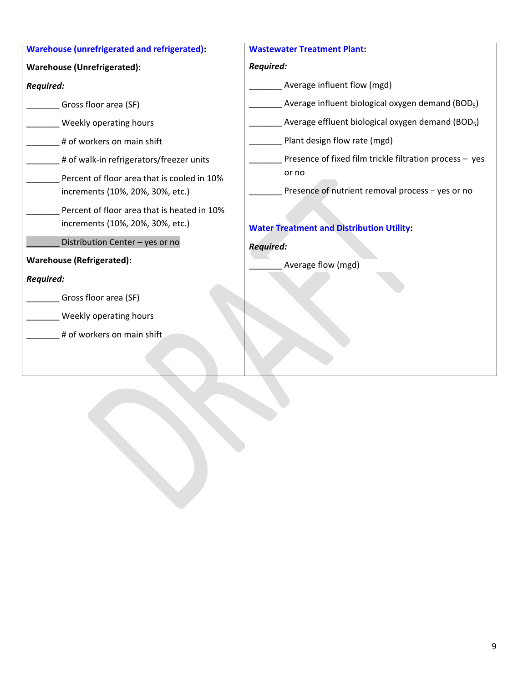| Warehouse (unrefrigerated and refrigerated):                                    | <b>Wastewater Treatment Plant:</b>                            |  |  |  |
|---------------------------------------------------------------------------------|---------------------------------------------------------------|--|--|--|
| <b>Warehouse (Unrefrigerated):</b>                                              | <b>Required:</b>                                              |  |  |  |
| Required:                                                                       | Average influent flow (mgd)                                   |  |  |  |
| Gross floor area (SF)                                                           | Average influent biological oxygen demand (BOD <sub>5</sub> ) |  |  |  |
| Weekly operating hours                                                          | Average effluent biological oxygen demand (BOD <sub>5</sub> ) |  |  |  |
| # of workers on main shift                                                      | Plant design flow rate (mgd)                                  |  |  |  |
| # of walk-in refrigerators/freezer units                                        | Presence of fixed film trickle filtration process - yes       |  |  |  |
| Percent of floor area that is cooled in 10%<br>increments (10%, 20%, 30%, etc.) | or no<br>Presence of nutrient removal process - yes or no     |  |  |  |
| Percent of floor area that is heated in 10%<br>increments (10%, 20%, 30%, etc.) | <b>Water Treatment and Distribution Utility:</b>              |  |  |  |
| Distribution Center - yes or no                                                 | <b>Required:</b>                                              |  |  |  |
| <b>Warehouse (Refrigerated):</b>                                                | Average flow (mgd)                                            |  |  |  |
| <b>Required:</b>                                                                |                                                               |  |  |  |
| Gross floor area (SF)                                                           |                                                               |  |  |  |
| Weekly operating hours                                                          |                                                               |  |  |  |
| # of workers on main shift                                                      |                                                               |  |  |  |
|                                                                                 |                                                               |  |  |  |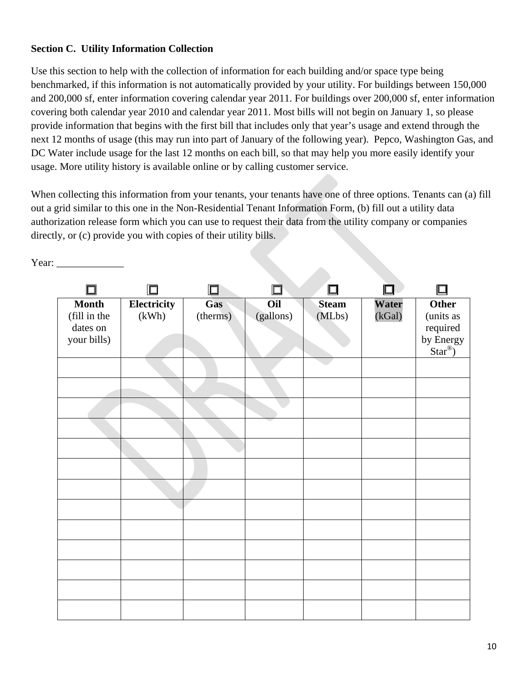## **Section C. Utility Information Collection**

Use this section to help with the collection of information for each building and/or space type being benchmarked, if this information is not automatically provided by your utility. For buildings between 150,000 and 200,000 sf, enter information covering calendar year 2011. For buildings over 200,000 sf, enter information covering both calendar year 2010 and calendar year 2011. Most bills will not begin on January 1, so please provide information that begins with the first bill that includes only that year's usage and extend through the next 12 months of usage (this may run into part of January of the following year). Pepco, Washington Gas, and DC Water include usage for the last 12 months on each bill, so that may help you more easily identify your usage. More utility history is available online or by calling customer service.

When collecting this information from your tenants, your tenants have one of three options. Tenants can (a) fill out a grid similar to this one in the Non-Residential Tenant Information Form, (b) fill out a utility data authorization release form which you can use to request their data from the utility company or companies directly, or (c) provide you with copies of their utility bills.

Year:

|                                                         |                      | $\Box$          |                  |                        |                 |                                                                           |
|---------------------------------------------------------|----------------------|-----------------|------------------|------------------------|-----------------|---------------------------------------------------------------------------|
| <b>Month</b><br>(fill in the<br>dates on<br>your bills) | Electricity<br>(kWh) | Gas<br>(therms) | Oil<br>(gallons) | <b>Steam</b><br>(MLbs) | Water<br>(kGal) | <b>Other</b><br>(units as<br>required<br>by Energy<br>Star <sup>®</sup> ) |
|                                                         |                      |                 |                  |                        |                 |                                                                           |
|                                                         |                      |                 |                  |                        |                 |                                                                           |
|                                                         |                      |                 |                  |                        |                 |                                                                           |
|                                                         |                      |                 |                  |                        |                 |                                                                           |
|                                                         |                      |                 |                  |                        |                 |                                                                           |
|                                                         |                      |                 |                  |                        |                 |                                                                           |
|                                                         |                      |                 |                  |                        |                 |                                                                           |
|                                                         |                      |                 |                  |                        |                 |                                                                           |
|                                                         |                      |                 |                  |                        |                 |                                                                           |
|                                                         |                      |                 |                  |                        |                 |                                                                           |
|                                                         |                      |                 |                  |                        |                 |                                                                           |
|                                                         |                      |                 |                  |                        |                 |                                                                           |
|                                                         |                      |                 |                  |                        |                 |                                                                           |